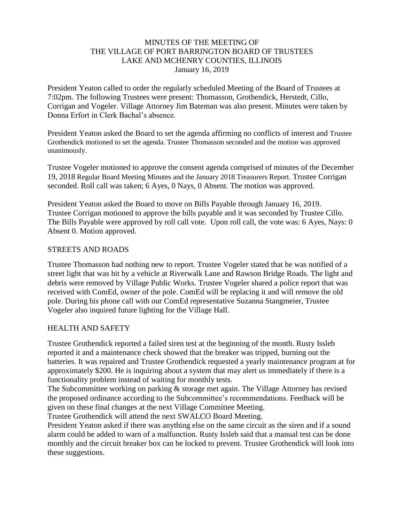## MINUTES OF THE MEETING OF THE VILLAGE OF PORT BARRINGTON BOARD OF TRUSTEES LAKE AND MCHENRY COUNTIES, ILLINOIS January 16, 2019

President Yeaton called to order the regularly scheduled Meeting of the Board of Trustees at 7:02pm. The following Trustees were present: Thomasson, Grothendick, Herstedt, Cillo, Corrigan and Vogeler. Village Attorney Jim Bateman was also present. Minutes were taken by Donna Erfort in Clerk Bachal's absence.

President Yeaton asked the Board to set the agenda affirming no conflicts of interest and Trustee Grothendick motioned to set the agenda. Trustee Thomasson seconded and the motion was approved unanimously.

Trustee Vogeler motioned to approve the consent agenda comprised of minutes of the December 19, 2018 Regular Board Meeting Minutes and the January 2018 Treasurers Report. Trustee Corrigan seconded. Roll call was taken; 6 Ayes, 0 Nays, 0 Absent. The motion was approved.

President Yeaton asked the Board to move on Bills Payable through January 16, 2019. Trustee Corrigan motioned to approve the bills payable and it was seconded by Trustee Cillo. The Bills Payable were approved by roll call vote. Upon roll call, the vote was: 6 Ayes, Nays: 0 Absent 0. Motion approved.

#### STREETS AND ROADS

Trustee Thomasson had nothing new to report. Trustee Vogeler stated that he was notified of a street light that was hit by a vehicle at Riverwalk Lane and Rawson Bridge Roads. The light and debris were removed by Village Public Works. Trustee Vogeler shared a police report that was received with ComEd, owner of the pole. ComEd will be replacing it and will remove the old pole. During his phone call with our ComEd representative Suzanna Stangmeier, Trustee Vogeler also inquired future lighting for the Village Hall.

## HEALTH AND SAFETY

Trustee Grothendick reported a failed siren test at the beginning of the month. Rusty Issleb reported it and a maintenance check showed that the breaker was tripped, burning out the batteries. It was repaired and Trustee Grothendick requested a yearly maintenance program at for approximately \$200. He is inquiring about a system that may alert us immediately if there is a functionality problem instead of waiting for monthly tests.

The Subcommittee working on parking & storage met again. The Village Attorney has revised the proposed ordinance according to the Subcommittee's recommendations. Feedback will be given on these final changes at the next Village Committee Meeting.

Trustee Grothendick will attend the next SWALCO Board Meeting.

President Yeaton asked if there was anything else on the same circuit as the siren and if a sound alarm could be added to warn of a malfunction. Rusty Issleb said that a manual test can be done monthly and the circuit breaker box can be locked to prevent. Trustee Grothendick will look into these suggestions.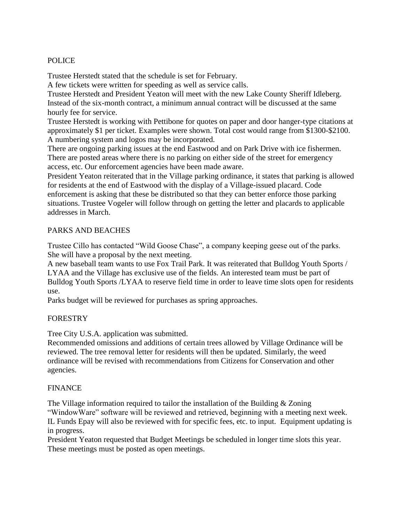## POLICE

Trustee Herstedt stated that the schedule is set for February.

A few tickets were written for speeding as well as service calls.

Trustee Herstedt and President Yeaton will meet with the new Lake County Sheriff Idleberg. Instead of the six-month contract, a minimum annual contract will be discussed at the same hourly fee for service.

Trustee Herstedt is working with Pettibone for quotes on paper and door hanger-type citations at approximately \$1 per ticket. Examples were shown. Total cost would range from \$1300-\$2100. A numbering system and logos may be incorporated.

There are ongoing parking issues at the end Eastwood and on Park Drive with ice fishermen. There are posted areas where there is no parking on either side of the street for emergency access, etc. Our enforcement agencies have been made aware.

President Yeaton reiterated that in the Village parking ordinance, it states that parking is allowed for residents at the end of Eastwood with the display of a Village-issued placard. Code enforcement is asking that these be distributed so that they can better enforce those parking situations. Trustee Vogeler will follow through on getting the letter and placards to applicable addresses in March.

# PARKS AND BEACHES

Trustee Cillo has contacted "Wild Goose Chase", a company keeping geese out of the parks. She will have a proposal by the next meeting.

A new baseball team wants to use Fox Trail Park. It was reiterated that Bulldog Youth Sports / LYAA and the Village has exclusive use of the fields. An interested team must be part of Bulldog Youth Sports /LYAA to reserve field time in order to leave time slots open for residents use.

Parks budget will be reviewed for purchases as spring approaches.

## FORESTRY

Tree City U.S.A. application was submitted.

Recommended omissions and additions of certain trees allowed by Village Ordinance will be reviewed. The tree removal letter for residents will then be updated. Similarly, the weed ordinance will be revised with recommendations from Citizens for Conservation and other agencies.

# FINANCE

The Village information required to tailor the installation of the Building  $\&$  Zoning "WindowWare" software will be reviewed and retrieved, beginning with a meeting next week. IL Funds Epay will also be reviewed with for specific fees, etc. to input. Equipment updating is in progress.

President Yeaton requested that Budget Meetings be scheduled in longer time slots this year. These meetings must be posted as open meetings.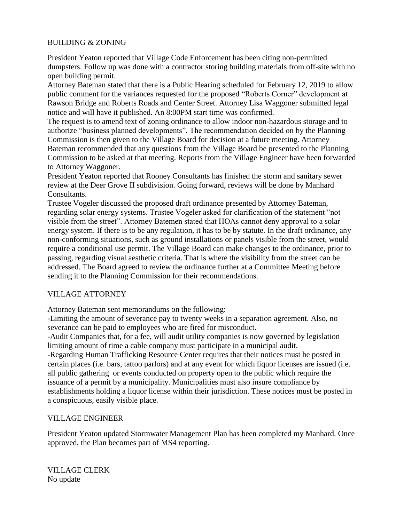## BUILDING & ZONING

President Yeaton reported that Village Code Enforcement has been citing non-permitted dumpsters. Follow up was done with a contractor storing building materials from off-site with no open building permit.

Attorney Bateman stated that there is a Public Hearing scheduled for February 12, 2019 to allow public comment for the variances requested for the proposed "Roberts Corner" development at Rawson Bridge and Roberts Roads and Center Street. Attorney Lisa Waggoner submitted legal notice and will have it published. An 8:00PM start time was confirmed.

The request is to amend text of zoning ordinance to allow indoor non-hazardous storage and to authorize "business planned developments". The recommendation decided on by the Planning Commission is then given to the Village Board for decision at a future meeting. Attorney Bateman recommended that any questions from the Village Board be presented to the Planning Commission to be asked at that meeting. Reports from the Village Engineer have been forwarded to Attorney Waggoner.

President Yeaton reported that Rooney Consultants has finished the storm and sanitary sewer review at the Deer Grove II subdivision. Going forward, reviews will be done by Manhard Consultants.

Trustee Vogeler discussed the proposed draft ordinance presented by Attorney Bateman, regarding solar energy systems. Trustee Vogeler asked for clarification of the statement "not visible from the street". Attorney Batemen stated that HOAs cannot deny approval to a solar energy system. If there is to be any regulation, it has to be by statute. In the draft ordinance, any non-conforming situations, such as ground installations or panels visible from the street, would require a conditional use permit. The Village Board can make changes to the ordinance, prior to passing, regarding visual aesthetic criteria. That is where the visibility from the street can be addressed. The Board agreed to review the ordinance further at a Committee Meeting before sending it to the Planning Commission for their recommendations.

# VILLAGE ATTORNEY

Attorney Bateman sent memorandums on the following:

-Limiting the amount of severance pay to twenty weeks in a separation agreement. Also, no severance can be paid to employees who are fired for misconduct.

-Audit Companies that, for a fee, will audit utility companies is now governed by legislation limiting amount of time a cable company must participate in a municipal audit. -Regarding Human Trafficking Resource Center requires that their notices must be posted in certain places (i.e. bars, tattoo parlors) and at any event for which liquor licenses are issued (i.e. all public gathering or events conducted on property open to the public which require the issuance of a permit by a municipality. Municipalities must also insure compliance by establishments holding a liquor license within their jurisdiction. These notices must be posted in a conspicuous, easily visible place.

## VILLAGE ENGINEER

President Yeaton updated Stormwater Management Plan has been completed my Manhard. Once approved, the Plan becomes part of MS4 reporting.

VILLAGE CLERK No update